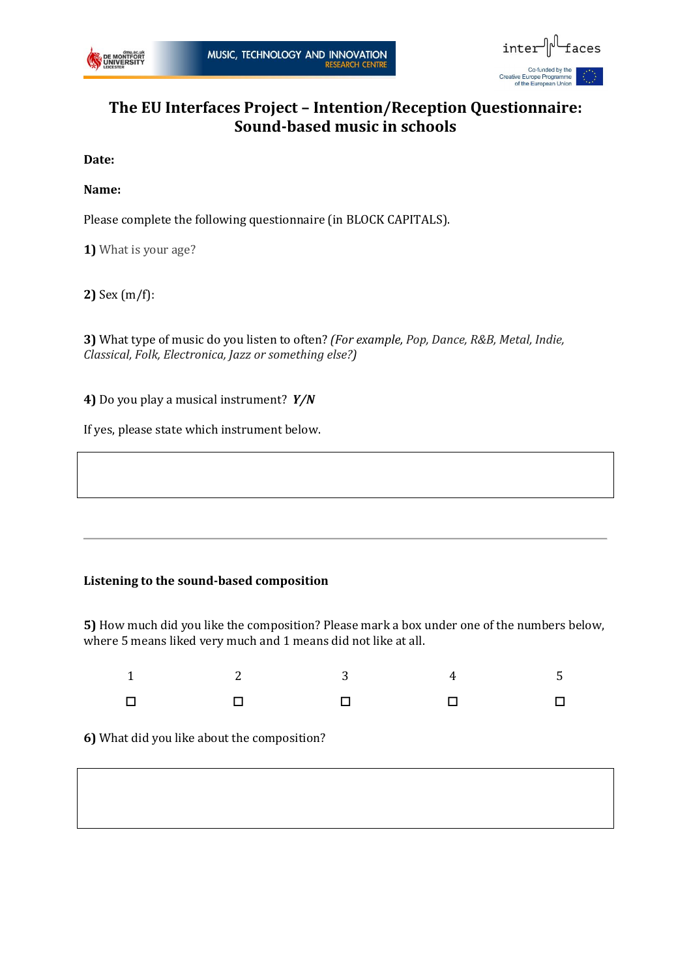



## **The EU Interfaces Project – Intention/Reception Questionnaire: Sound-based music in schools**

**Date:**

**Name:**

Please complete the following questionnaire (in BLOCK CAPITALS).

**1)** What is your age?

**2)** Sex (m/f):

**3)** What type of music do you listen to often? *(For example, Pop, Dance, R&B, Metal, Indie, Classical, Folk, Electronica, Jazz or something else?)*

**4)** Do you play a musical instrument? *Y/N*

If yes, please state which instrument below.

## **Listening to the sound-based composition**

**5)** How much did you like the composition? Please mark a box under one of the numbers below, where 5 means liked very much and 1 means did not like at all.

|  | $1$ and $2$ and $3$ and $4$ and $5$                                                                                                                                                              |  |
|--|--------------------------------------------------------------------------------------------------------------------------------------------------------------------------------------------------|--|
|  | $\begin{array}{ccccccccccccccccc} \Box & \Box & \Box & \Box & \Box & \Box & \Box & \Box \end{array} \qquad \begin{array}{ccccccccccccccccc} \Box & \Box & \Box & \Box & \Box & \Box \end{array}$ |  |

**6)** What did you like about the composition?